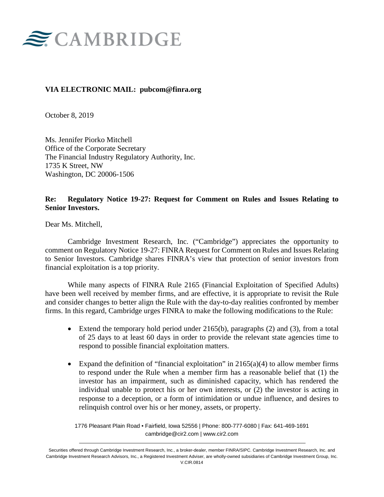

### **VIA ELECTRONIC MAIL: pubcom@finra.org**

October 8, 2019

Ms. Jennifer Piorko Mitchell Office of the Corporate Secretary The Financial Industry Regulatory Authority, Inc. 1735 K Street, NW Washington, DC 20006-1506

### **Re: Regulatory Notice 19-27: Request for Comment on Rules and Issues Relating to Senior Investors.**

Dear Ms. Mitchell,

Cambridge Investment Research, Inc. ("Cambridge") appreciates the opportunity to comment on Regulatory Notice 19-27: FINRA Request for Comment on Rules and Issues Relating to Senior Investors. Cambridge shares FINRA's view that protection of senior investors from financial exploitation is a top priority.

While many aspects of FINRA Rule 2165 (Financial Exploitation of Specified Adults) have been well received by member firms, and are effective, it is appropriate to revisit the Rule and consider changes to better align the Rule with the day-to-day realities confronted by member firms. In this regard, Cambridge urges FINRA to make the following modifications to the Rule:

- Extend the temporary hold period under  $2165(b)$ , paragraphs  $(2)$  and  $(3)$ , from a total of 25 days to at least 60 days in order to provide the relevant state agencies time to respond to possible financial exploitation matters.
- Expand the definition of "financial exploitation" in  $2165(a)(4)$  to allow member firms to respond under the Rule when a member firm has a reasonable belief that (1) the investor has an impairment, such as diminished capacity, which has rendered the individual unable to protect his or her own interests, or (2) the investor is acting in response to a deception, or a form of intimidation or undue influence, and desires to relinquish control over his or her money, assets, or property.

1776 Pleasant Plain Road • Fairfield, Iowa 52556 | Phone: 800-777-6080 | Fax: 641-469-1691 cambridge@cir2.com | www.cir2.com

Securities offered through Cambridge Investment Research, Inc., a broker-dealer, member FINRA/SIPC. Cambridge Investment Research, Inc. and Cambridge Investment Research Advisors, Inc., a Registered Investment Adviser, are wholly-owned subsidiaries of Cambridge Investment Group, Inc. V.CIR.0814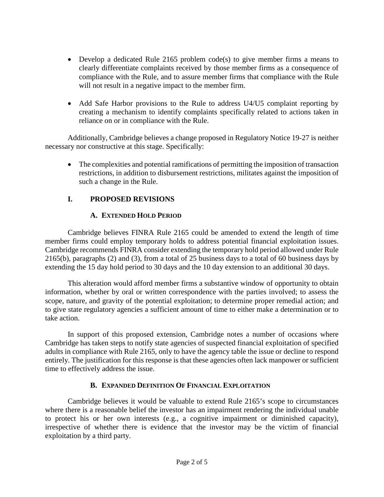- Develop a dedicated Rule 2165 problem code(s) to give member firms a means to clearly differentiate complaints received by those member firms as a consequence of compliance with the Rule, and to assure member firms that compliance with the Rule will not result in a negative impact to the member firm.
- Add Safe Harbor provisions to the Rule to address U4/U5 complaint reporting by creating a mechanism to identify complaints specifically related to actions taken in reliance on or in compliance with the Rule.

Additionally, Cambridge believes a change proposed in Regulatory Notice 19-27 is neither necessary nor constructive at this stage. Specifically:

• The complexities and potential ramifications of permitting the imposition of transaction restrictions, in addition to disbursement restrictions, militates against the imposition of such a change in the Rule.

# **I. PROPOSED REVISIONS**

# **A. EXTENDED HOLD PERIOD**

Cambridge believes FINRA Rule 2165 could be amended to extend the length of time member firms could employ temporary holds to address potential financial exploitation issues. Cambridge recommends FINRA consider extending the temporary hold period allowed under Rule 2165(b), paragraphs (2) and (3), from a total of 25 business days to a total of 60 business days by extending the 15 day hold period to 30 days and the 10 day extension to an additional 30 days.

This alteration would afford member firms a substantive window of opportunity to obtain information, whether by oral or written correspondence with the parties involved; to assess the scope, nature, and gravity of the potential exploitation; to determine proper remedial action; and to give state regulatory agencies a sufficient amount of time to either make a determination or to take action.

In support of this proposed extension, Cambridge notes a number of occasions where Cambridge has taken steps to notify state agencies of suspected financial exploitation of specified adults in compliance with Rule 2165, only to have the agency table the issue or decline to respond entirely. The justification for this response is that these agencies often lack manpower or sufficient time to effectively address the issue.

### **B. EXPANDED DEFINITION OF FINANCIAL EXPLOITATION**

Cambridge believes it would be valuable to extend Rule 2165's scope to circumstances where there is a reasonable belief the investor has an impairment rendering the individual unable to protect his or her own interests (e.g., a cognitive impairment or diminished capacity), irrespective of whether there is evidence that the investor may be the victim of financial exploitation by a third party.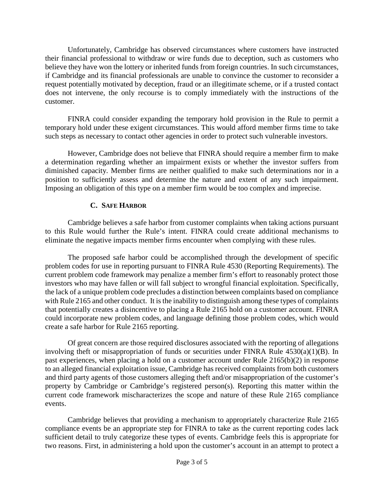Unfortunately, Cambridge has observed circumstances where customers have instructed their financial professional to withdraw or wire funds due to deception, such as customers who believe they have won the lottery or inherited funds from foreign countries. In such circumstances, if Cambridge and its financial professionals are unable to convince the customer to reconsider a request potentially motivated by deception, fraud or an illegitimate scheme, or if a trusted contact does not intervene, the only recourse is to comply immediately with the instructions of the customer.

FINRA could consider expanding the temporary hold provision in the Rule to permit a temporary hold under these exigent circumstances. This would afford member firms time to take such steps as necessary to contact other agencies in order to protect such vulnerable investors.

However, Cambridge does not believe that FINRA should require a member firm to make a determination regarding whether an impairment exists or whether the investor suffers from diminished capacity. Member firms are neither qualified to make such determinations nor in a position to sufficiently assess and determine the nature and extent of any such impairment. Imposing an obligation of this type on a member firm would be too complex and imprecise.

## **C. SAFE HARBOR**

Cambridge believes a safe harbor from customer complaints when taking actions pursuant to this Rule would further the Rule's intent. FINRA could create additional mechanisms to eliminate the negative impacts member firms encounter when complying with these rules.

The proposed safe harbor could be accomplished through the development of specific problem codes for use in reporting pursuant to FINRA Rule 4530 (Reporting Requirements). The current problem code framework may penalize a member firm's effort to reasonably protect those investors who may have fallen or will fall subject to wrongful financial exploitation. Specifically, the lack of a unique problem code precludes a distinction between complaints based on compliance with Rule 2165 and other conduct. It is the inability to distinguish among these types of complaints that potentially creates a disincentive to placing a Rule 2165 hold on a customer account. FINRA could incorporate new problem codes, and language defining those problem codes, which would create a safe harbor for Rule 2165 reporting.

Of great concern are those required disclosures associated with the reporting of allegations involving theft or misappropriation of funds or securities under FINRA Rule 4530(a)(1)(B). In past experiences, when placing a hold on a customer account under Rule 2165(b)(2) in response to an alleged financial exploitation issue, Cambridge has received complaints from both customers and third party agents of those customers alleging theft and/or misappropriation of the customer's property by Cambridge or Cambridge's registered person(s). Reporting this matter within the current code framework mischaracterizes the scope and nature of these Rule 2165 compliance events.

Cambridge believes that providing a mechanism to appropriately characterize Rule 2165 compliance events be an appropriate step for FINRA to take as the current reporting codes lack sufficient detail to truly categorize these types of events. Cambridge feels this is appropriate for two reasons. First, in administering a hold upon the customer's account in an attempt to protect a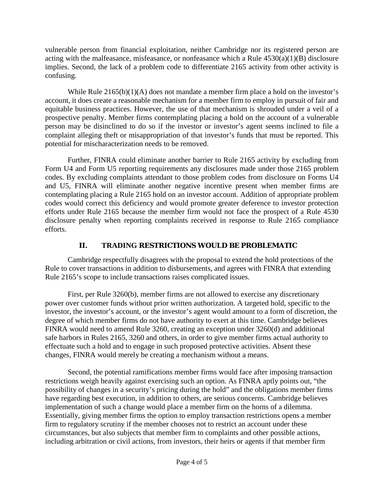vulnerable person from financial exploitation, neither Cambridge nor its registered person are acting with the malfeasance, misfeasance, or nonfeasance which a Rule 4530(a)(1)(B) disclosure implies. Second, the lack of a problem code to differentiate 2165 activity from other activity is confusing.

While Rule 2165(b)(1)(A) does not mandate a member firm place a hold on the investor's account, it does create a reasonable mechanism for a member firm to employ in pursuit of fair and equitable business practices. However, the use of that mechanism is shrouded under a veil of a prospective penalty. Member firms contemplating placing a hold on the account of a vulnerable person may be disinclined to do so if the investor or investor's agent seems inclined to file a complaint alleging theft or misappropriation of that investor's funds that must be reported. This potential for mischaracterization needs to be removed.

Further, FINRA could eliminate another barrier to Rule 2165 activity by excluding from Form U4 and Form U5 reporting requirements any disclosures made under those 2165 problem codes. By excluding complaints attendant to those problem codes from disclosure on Forms U4 and U5, FINRA will eliminate another negative incentive present when member firms are contemplating placing a Rule 2165 hold on an investor account. Addition of appropriate problem codes would correct this deficiency and would promote greater deference to investor protection efforts under Rule 2165 because the member firm would not face the prospect of a Rule 4530 disclosure penalty when reporting complaints received in response to Rule 2165 compliance efforts.

# **II. TRADING RESTRICTIONS WOULD BE PROBLEMATIC**

Cambridge respectfully disagrees with the proposal to extend the hold protections of the Rule to cover transactions in addition to disbursements, and agrees with FINRA that extending Rule 2165's scope to include transactions raises complicated issues.

First, per Rule 3260(b), member firms are not allowed to exercise any discretionary power over customer funds without prior written authorization. A targeted hold, specific to the investor, the investor's account, or the investor's agent would amount to a form of discretion, the degree of which member firms do not have authority to exert at this time. Cambridge believes FINRA would need to amend Rule 3260, creating an exception under 3260(d) and additional safe harbors in Rules 2165, 3260 and others, in order to give member firms actual authority to effectuate such a hold and to engage in such proposed protective activities. Absent these changes, FINRA would merely be creating a mechanism without a means.

Second, the potential ramifications member firms would face after imposing transaction restrictions weigh heavily against exercising such an option. As FINRA aptly points out, "the possibility of changes in a security's pricing during the hold" and the obligations member firms have regarding best execution, in addition to others, are serious concerns. Cambridge believes implementation of such a change would place a member firm on the horns of a dilemma. Essentially, giving member firms the option to employ transaction restrictions opens a member firm to regulatory scrutiny if the member chooses not to restrict an account under these circumstances, but also subjects that member firm to complaints and other possible actions, including arbitration or civil actions, from investors, their heirs or agents if that member firm